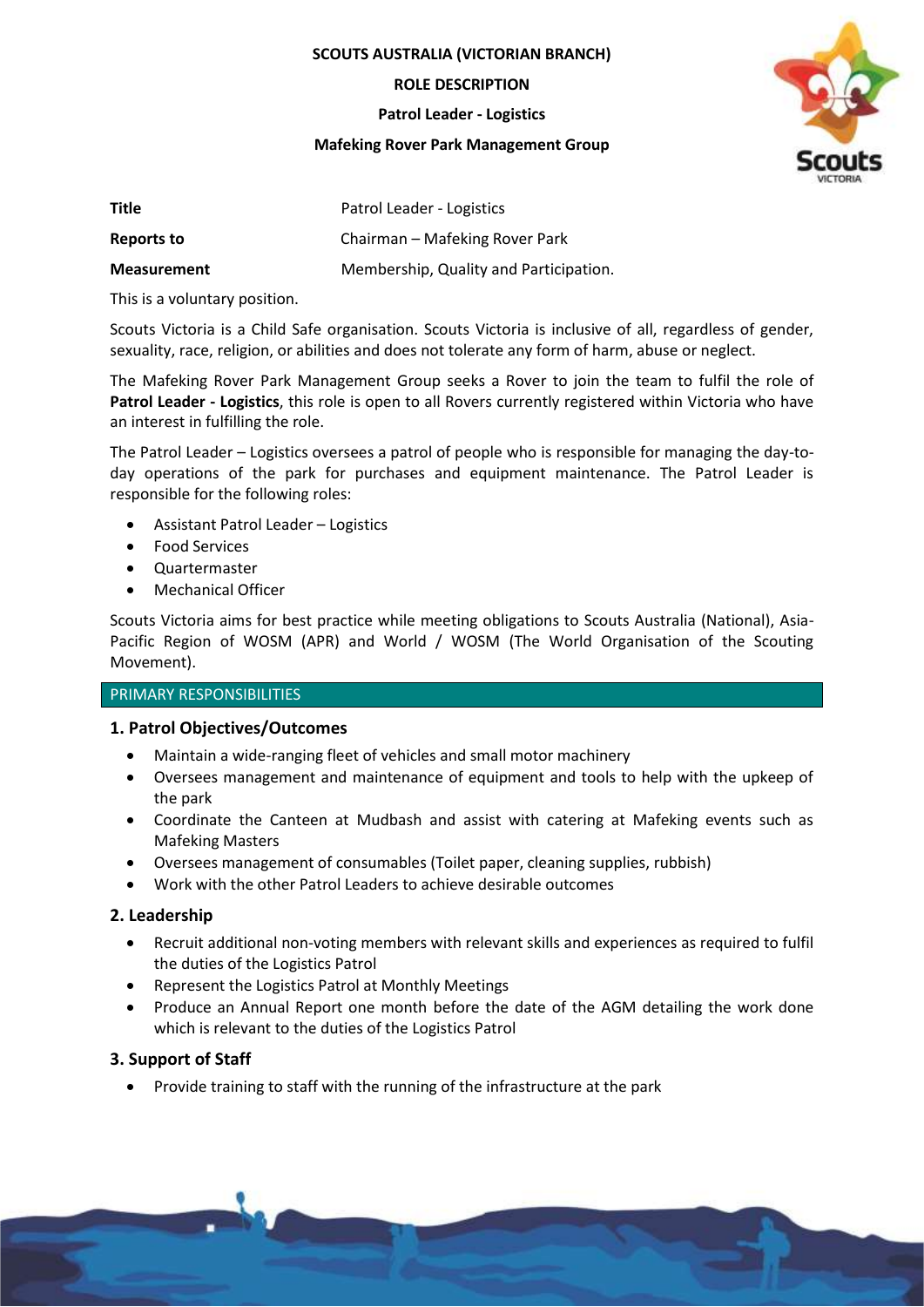**SCOUTS AUSTRALIA (VICTORIAN BRANCH)**

**ROLE DESCRIPTION**

**Patrol Leader - Logistics**

#### **Mafeking Rover Park Management Group**



| Title              | Patrol Leader - Logistics              |
|--------------------|----------------------------------------|
| Reports to         | Chairman – Mafeking Rover Park         |
| <b>Measurement</b> | Membership, Quality and Participation. |

This is a voluntary position.

Scouts Victoria is a Child Safe organisation. Scouts Victoria is inclusive of all, regardless of gender, sexuality, race, religion, or abilities and does not tolerate any form of harm, abuse or neglect.

The Mafeking Rover Park Management Group seeks a Rover to join the team to fulfil the role of **Patrol Leader - Logistics**, this role is open to all Rovers currently registered within Victoria who have an interest in fulfilling the role.

The Patrol Leader – Logistics oversees a patrol of people who is responsible for managing the day-today operations of the park for purchases and equipment maintenance. The Patrol Leader is responsible for the following roles:

- Assistant Patrol Leader Logistics
- Food Services
- Quartermaster
- Mechanical Officer

Scouts Victoria aims for best practice while meeting obligations to Scouts Australia (National), Asia-Pacific Region of WOSM (APR) and World / WOSM (The World Organisation of the Scouting Movement).

## PRIMARY RESPONSIBILITIES

# **1. Patrol Objectives/Outcomes**

- Maintain a wide-ranging fleet of vehicles and small motor machinery
- Oversees management and maintenance of equipment and tools to help with the upkeep of the park
- Coordinate the Canteen at Mudbash and assist with catering at Mafeking events such as Mafeking Masters
- Oversees management of consumables (Toilet paper, cleaning supplies, rubbish)
- Work with the other Patrol Leaders to achieve desirable outcomes

# **2. Leadership**

- Recruit additional non-voting members with relevant skills and experiences as required to fulfil the duties of the Logistics Patrol
- Represent the Logistics Patrol at Monthly Meetings
- Produce an Annual Report one month before the date of the AGM detailing the work done which is relevant to the duties of the Logistics Patrol

# **3. Support of Staff**

• Provide training to staff with the running of the infrastructure at the park